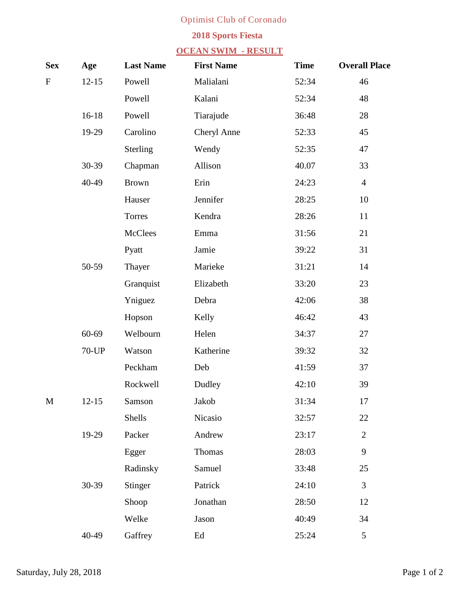## **Optimist Club of Coronado**

## **2018 Sports Fiesta**

## **OCEAN SWIM - RESULT**

| <b>Sex</b>   | Age          | <b>Last Name</b> | <b>First Name</b>  | <b>Time</b> | <b>Overall Place</b>    |
|--------------|--------------|------------------|--------------------|-------------|-------------------------|
| F            | $12 - 15$    | <b>Powell</b>    | <b>Malialani</b>   | 52:34       | 46                      |
|              |              | <b>Powell</b>    | <b>Kalani</b>      | 52:34       | 48                      |
|              | $16 - 18$    | <b>Powell</b>    | <b>Tiarajude</b>   | 36:48       | 28                      |
|              | $19-29$      | <b>Carolino</b>  | <b>Cheryl Anne</b> | 52:33       | 45                      |
|              |              | <b>Sterling</b>  | <b>Wendy</b>       | 52:35       | 47                      |
|              | $30 - 39$    | <b>Chapman</b>   | <b>Allison</b>     | 40.07       | 33                      |
|              | 40-49        | <b>Brown</b>     | Erin               | 24:23       | $\overline{\mathbf{4}}$ |
|              |              | <b>Hauser</b>    | <b>Jennifer</b>    | 28:25       | 10                      |
|              |              | <b>Torres</b>    | <b>Kendra</b>      | 28:26       | 11                      |
|              |              | <b>McClees</b>   | <b>Emma</b>        | 31:56       | 21                      |
|              |              | <b>Pyatt</b>     | <b>Jamie</b>       | 39:22       | 31                      |
|              | 50-59        | <b>Thayer</b>    | <b>Marieke</b>     | 31:21       | 14                      |
|              |              | <b>Granquist</b> | Elizabeth          | 33:20       | 23                      |
|              |              | Yniguez          | <b>Debra</b>       | 42:06       | 38                      |
|              |              | <b>Hopson</b>    | <b>Kelly</b>       | 46:42       | 43                      |
|              | 60-69        | Welbourn         | <b>Helen</b>       | 34:37       | 27                      |
|              | <b>70-UP</b> | <b>Watson</b>    | <b>Katherine</b>   | 39:32       | 32                      |
|              |              | <b>Peckham</b>   | <b>Deb</b>         | 41:59       | 37                      |
|              |              | <b>Rockwell</b>  | <b>Dudley</b>      | 42:10       | 39                      |
| $\mathbf{M}$ | $12 - 15$    | <b>Samson</b>    | <b>Jakob</b>       | 31:34       | 17                      |
|              |              | <b>Shells</b>    | <b>Nicasio</b>     | 32:57       | 22                      |
|              | $19-29$      | <b>Packer</b>    | <b>Andrew</b>      | 23:17       | $\overline{2}$          |
|              |              | <b>Egger</b>     | <b>Thomas</b>      | 28:03       | 9                       |
|              |              | <b>Radinsky</b>  | <b>Samuel</b>      | 33:48       | 25                      |
|              | $30 - 39$    | <b>Stinger</b>   | <b>Patrick</b>     | 24:10       | $\overline{\mathbf{3}}$ |
|              |              | <b>Shoop</b>     | <b>Jonathan</b>    | 28:50       | 12                      |
|              |              | Welke            | <b>Jason</b>       | 40:49       | 34                      |
|              | 40-49        | <b>Gaffrey</b>   | Ed                 | 25:24       | 5                       |